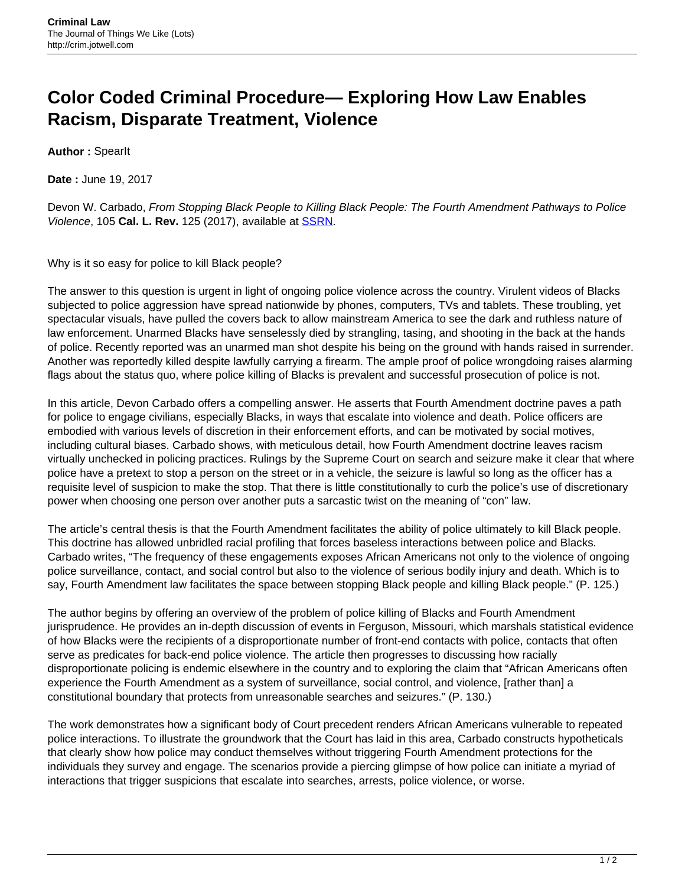## **Color Coded Criminal Procedure— Exploring How Law Enables Racism, Disparate Treatment, Violence**

**Author :** SpearIt

**Date :** June 19, 2017

Devon W. Carbado, From Stopping Black People to Killing Black People: The Fourth Amendment Pathways to Police Violence, 105 **Cal. L. Rev.** 125 (2017), available at [SSRN.](https://papers.ssrn.com/sol3/Papers.cfm?abstract_id=2844312)

Why is it so easy for police to kill Black people?

The answer to this question is urgent in light of ongoing police violence across the country. Virulent videos of Blacks subjected to police aggression have spread nationwide by phones, computers, TVs and tablets. These troubling, yet spectacular visuals, have pulled the covers back to allow mainstream America to see the dark and ruthless nature of law enforcement. Unarmed Blacks have senselessly died by strangling, tasing, and shooting in the back at the hands of police. Recently reported was an unarmed man shot despite his being on the ground with hands raised in surrender. Another was reportedly killed despite lawfully carrying a firearm. The ample proof of police wrongdoing raises alarming flags about the status quo, where police killing of Blacks is prevalent and successful prosecution of police is not.

In this article, Devon Carbado offers a compelling answer. He asserts that Fourth Amendment doctrine paves a path for police to engage civilians, especially Blacks, in ways that escalate into violence and death. Police officers are embodied with various levels of discretion in their enforcement efforts, and can be motivated by social motives, including cultural biases. Carbado shows, with meticulous detail, how Fourth Amendment doctrine leaves racism virtually unchecked in policing practices. Rulings by the Supreme Court on search and seizure make it clear that where police have a pretext to stop a person on the street or in a vehicle, the seizure is lawful so long as the officer has a requisite level of suspicion to make the stop. That there is little constitutionally to curb the police's use of discretionary power when choosing one person over another puts a sarcastic twist on the meaning of "con" law.

The article's central thesis is that the Fourth Amendment facilitates the ability of police ultimately to kill Black people. This doctrine has allowed unbridled racial profiling that forces baseless interactions between police and Blacks. Carbado writes, "The frequency of these engagements exposes African Americans not only to the violence of ongoing police surveillance, contact, and social control but also to the violence of serious bodily injury and death. Which is to say, Fourth Amendment law facilitates the space between stopping Black people and killing Black people." (P. 125.)

The author begins by offering an overview of the problem of police killing of Blacks and Fourth Amendment jurisprudence. He provides an in-depth discussion of events in Ferguson, Missouri, which marshals statistical evidence of how Blacks were the recipients of a disproportionate number of front-end contacts with police, contacts that often serve as predicates for back-end police violence. The article then progresses to discussing how racially disproportionate policing is endemic elsewhere in the country and to exploring the claim that "African Americans often experience the Fourth Amendment as a system of surveillance, social control, and violence, [rather than] a constitutional boundary that protects from unreasonable searches and seizures." (P. 130.)

The work demonstrates how a significant body of Court precedent renders African Americans vulnerable to repeated police interactions. To illustrate the groundwork that the Court has laid in this area, Carbado constructs hypotheticals that clearly show how police may conduct themselves without triggering Fourth Amendment protections for the individuals they survey and engage. The scenarios provide a piercing glimpse of how police can initiate a myriad of interactions that trigger suspicions that escalate into searches, arrests, police violence, or worse.